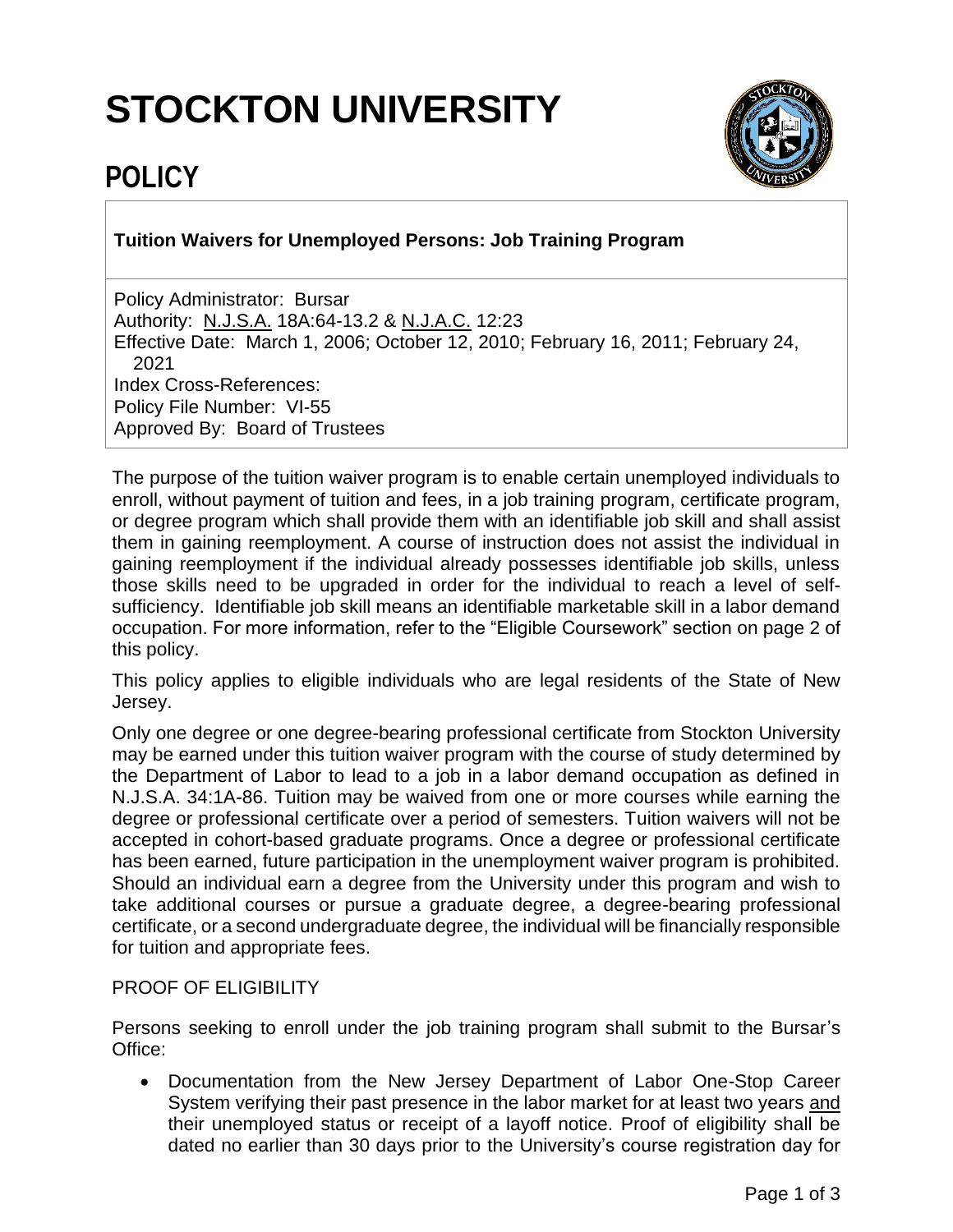# **STOCKTON UNIVERSITY**



## **POLICY**

**Tuition Waivers for Unemployed Persons: Job Training Program**

Policy Administrator: Bursar Authority: N.J.S.A. 18A:64-13.2 & N.J.A.C. 12:23 Effective Date: March 1, 2006; October 12, 2010; February 16, 2011; February 24, 2021 Index Cross-References: Policy File Number: VI-55 Approved By: Board of Trustees

The purpose of the tuition waiver program is to enable certain unemployed individuals to enroll, without payment of tuition and fees, in a job training program, certificate program, or degree program which shall provide them with an identifiable job skill and shall assist them in gaining reemployment. A course of instruction does not assist the individual in gaining reemployment if the individual already possesses identifiable job skills, unless those skills need to be upgraded in order for the individual to reach a level of selfsufficiency. Identifiable job skill means an identifiable marketable skill in a labor demand occupation. For more information, refer to the "Eligible Coursework" section on page 2 of this policy.

This policy applies to eligible individuals who are legal residents of the State of New Jersey.

Only one degree or one degree-bearing professional certificate from Stockton University may be earned under this tuition waiver program with the course of study determined by the Department of Labor to lead to a job in a labor demand occupation as defined in N.J.S.A. 34:1A-86. Tuition may be waived from one or more courses while earning the degree or professional certificate over a period of semesters. Tuition waivers will not be accepted in cohort-based graduate programs. Once a degree or professional certificate has been earned, future participation in the unemployment waiver program is prohibited. Should an individual earn a degree from the University under this program and wish to take additional courses or pursue a graduate degree, a degree-bearing professional certificate, or a second undergraduate degree, the individual will be financially responsible for tuition and appropriate fees.

### PROOF OF ELIGIBILITY

Persons seeking to enroll under the job training program shall submit to the Bursar's Office:

• Documentation from the New Jersey Department of Labor One-Stop Career System verifying their past presence in the labor market for at least two years and their unemployed status or receipt of a layoff notice. Proof of eligibility shall be dated no earlier than 30 days prior to the University's course registration day for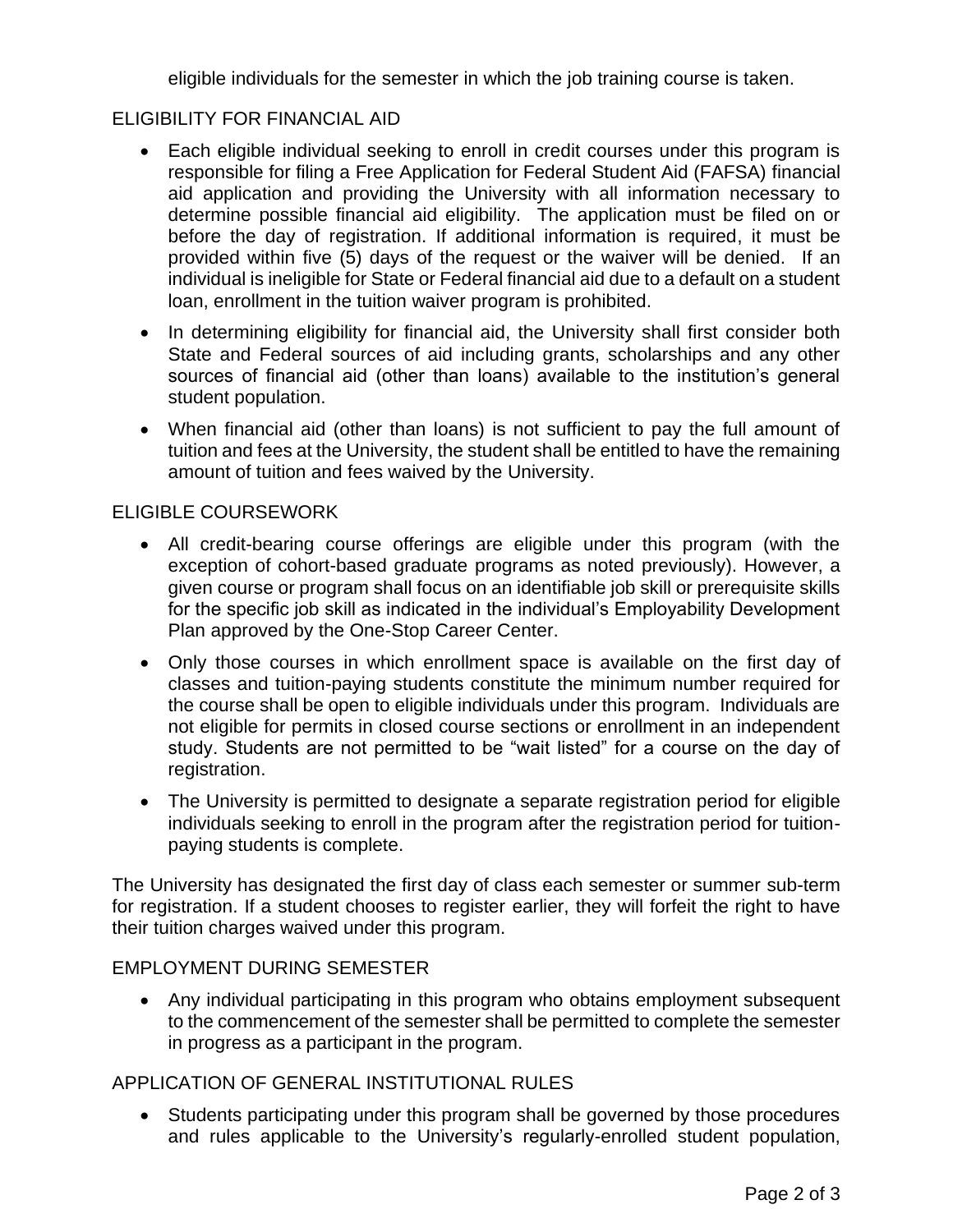eligible individuals for the semester in which the job training course is taken.

#### ELIGIBILITY FOR FINANCIAL AID

- Each eligible individual seeking to enroll in credit courses under this program is responsible for filing a Free Application for Federal Student Aid (FAFSA) financial aid application and providing the University with all information necessary to determine possible financial aid eligibility. The application must be filed on or before the day of registration. If additional information is required, it must be provided within five (5) days of the request or the waiver will be denied. If an individual is ineligible for State or Federal financial aid due to a default on a student loan, enrollment in the tuition waiver program is prohibited.
- In determining eligibility for financial aid, the University shall first consider both State and Federal sources of aid including grants, scholarships and any other sources of financial aid (other than loans) available to the institution's general student population.
- When financial aid (other than loans) is not sufficient to pay the full amount of tuition and fees at the University, the student shall be entitled to have the remaining amount of tuition and fees waived by the University.

#### ELIGIBLE COURSEWORK

- All credit-bearing course offerings are eligible under this program (with the exception of cohort-based graduate programs as noted previously). However, a given course or program shall focus on an identifiable job skill or prerequisite skills for the specific job skill as indicated in the individual's Employability Development Plan approved by the One-Stop Career Center.
- Only those courses in which enrollment space is available on the first day of classes and tuition-paying students constitute the minimum number required for the course shall be open to eligible individuals under this program. Individuals are not eligible for permits in closed course sections or enrollment in an independent study. Students are not permitted to be "wait listed" for a course on the day of registration.
- The University is permitted to designate a separate registration period for eligible individuals seeking to enroll in the program after the registration period for tuitionpaying students is complete.

The University has designated the first day of class each semester or summer sub-term for registration. If a student chooses to register earlier, they will forfeit the right to have their tuition charges waived under this program.

#### EMPLOYMENT DURING SEMESTER

• Any individual participating in this program who obtains employment subsequent to the commencement of the semester shall be permitted to complete the semester in progress as a participant in the program.

#### APPLICATION OF GENERAL INSTITUTIONAL RULES

• Students participating under this program shall be governed by those procedures and rules applicable to the University's regularly-enrolled student population,